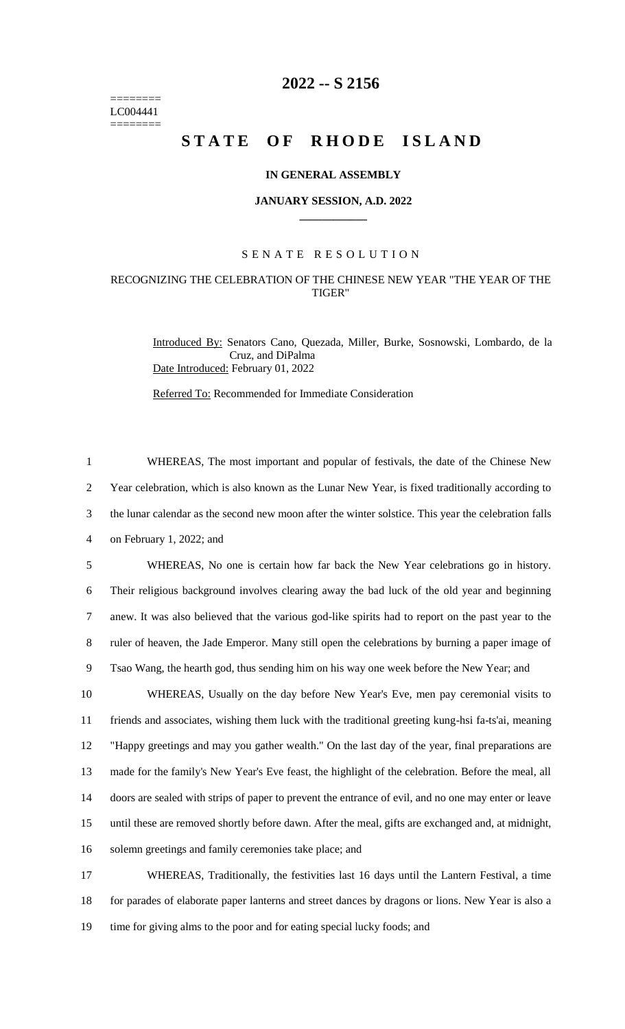======== LC004441 ========

# **2022 -- S 2156**

# **STATE OF RHODE ISLAND**

## **IN GENERAL ASSEMBLY**

#### **JANUARY SESSION, A.D. 2022 \_\_\_\_\_\_\_\_\_\_\_\_**

## S E N A T E R E S O L U T I O N

# RECOGNIZING THE CELEBRATION OF THE CHINESE NEW YEAR "THE YEAR OF THE TIGER"

Introduced By: Senators Cano, Quezada, Miller, Burke, Sosnowski, Lombardo, de la Cruz, and DiPalma Date Introduced: February 01, 2022

Referred To: Recommended for Immediate Consideration

 WHEREAS, The most important and popular of festivals, the date of the Chinese New Year celebration, which is also known as the Lunar New Year, is fixed traditionally according to the lunar calendar as the second new moon after the winter solstice. This year the celebration falls on February 1, 2022; and WHEREAS, No one is certain how far back the New Year celebrations go in history. Their religious background involves clearing away the bad luck of the old year and beginning anew. It was also believed that the various god-like spirits had to report on the past year to the ruler of heaven, the Jade Emperor. Many still open the celebrations by burning a paper image of Tsao Wang, the hearth god, thus sending him on his way one week before the New Year; and WHEREAS, Usually on the day before New Year's Eve, men pay ceremonial visits to friends and associates, wishing them luck with the traditional greeting kung-hsi fa-ts'ai, meaning "Happy greetings and may you gather wealth." On the last day of the year, final preparations are made for the family's New Year's Eve feast, the highlight of the celebration. Before the meal, all doors are sealed with strips of paper to prevent the entrance of evil, and no one may enter or leave until these are removed shortly before dawn. After the meal, gifts are exchanged and, at midnight, solemn greetings and family ceremonies take place; and WHEREAS, Traditionally, the festivities last 16 days until the Lantern Festival, a time for parades of elaborate paper lanterns and street dances by dragons or lions. New Year is also a time for giving alms to the poor and for eating special lucky foods; and